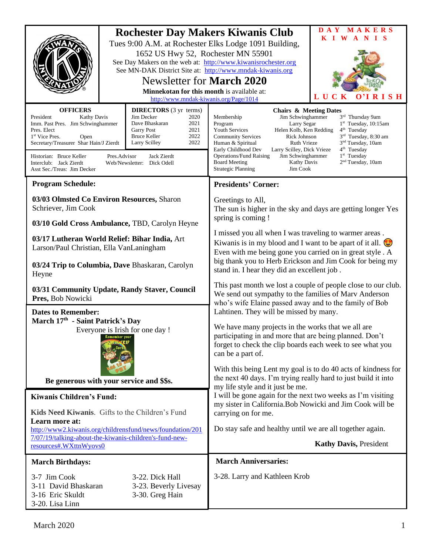|                                                                                                                                                                                                                                                                                                                                                                                                                                                                                                               | 1652 US Hwy 52, Rochester MN 55901 | MAKERS<br>$\mathbf{D} \mathbf{A} \mathbf{Y}$<br><b>Rochester Day Makers Kiwanis Club</b><br>K I W<br>A N<br>T S<br>Tues 9:00 A.M. at Rochester Elks Lodge 1091 Building,<br>See Day Makers on the web at: http://www.kiwanisrochester.org<br>See MN-DAK District Site at: http://www.mndak-kiwanis.org                                                                                                                                                                                                                                                                                                                                                                   |
|---------------------------------------------------------------------------------------------------------------------------------------------------------------------------------------------------------------------------------------------------------------------------------------------------------------------------------------------------------------------------------------------------------------------------------------------------------------------------------------------------------------|------------------------------------|--------------------------------------------------------------------------------------------------------------------------------------------------------------------------------------------------------------------------------------------------------------------------------------------------------------------------------------------------------------------------------------------------------------------------------------------------------------------------------------------------------------------------------------------------------------------------------------------------------------------------------------------------------------------------|
| <b>Newsletter for March 2020</b><br>Minnekotan for this month is available at:<br>http://www.mndak-kiwanis.org/Page/1014                                                                                                                                                                                                                                                                                                                                                                                      |                                    | LUCK<br>$\mathbf{O}^3\mathbf{I}$<br><b>RISH</b>                                                                                                                                                                                                                                                                                                                                                                                                                                                                                                                                                                                                                          |
| <b>OFFICERS</b><br><b>DIRECTORS</b> (3 yr terms)<br>President<br>Jim Decker<br><b>Kathy Davis</b><br>2020<br>Imm. Past Pres. Jim Schwinghammer<br>2021<br>Dave Bhaskaran<br>2021<br>Pres. Elect<br><b>Garry Post</b><br>2022<br><b>Bruce Keller</b><br>1 <sup>st</sup> Vice Pres.<br>Open<br>Secretary/Treasurer Shar Hain/J Zierdt<br>2022<br>Larry Scilley<br>Historian: Bruce Keller<br>Pres.Advisor<br>Jack Zierdt<br>Interclub: Jack Zierdt<br>Web/Newsletter: Dick Odell<br>Asst Sec./Treas: Jim Decker |                                    | <b>Chairs &amp; Meeting Dates</b><br>Jim Schwinghammer<br>3rd Thursday 9am<br>Membership<br>$1st$ Tuesday, 10:15am<br>Program<br>Larry Segar<br><b>Youth Services</b><br>Helen Kolb, Ken Redding<br>$4th$ Tuesday<br>3 <sup>rd</sup> Tuesday, 8:30 am<br><b>Community Services</b><br>Rick Johnson<br>3 <sup>nd</sup> Tuesday, 10am<br><b>Ruth Vrieze</b><br>Human & Spiritual<br>4 <sup>th</sup> Tuesday<br>Early Childhood Dev<br>Larry Scilley, Dick Vrieze<br>1 <sup>st</sup> Tuesday<br><b>Operations/Fund Raising</b><br>Jim Schwinghammer<br>2 <sup>nd</sup> Tuesday, 10am<br><b>Board Meeting</b><br><b>Kathy Davis</b><br><b>Strategic Planning</b><br>Jim Cook |
| <b>Program Schedule:</b>                                                                                                                                                                                                                                                                                                                                                                                                                                                                                      |                                    | <b>Presidents' Corner:</b>                                                                                                                                                                                                                                                                                                                                                                                                                                                                                                                                                                                                                                               |
| 03/03 Olmsted Co Environ Resources, Sharon<br>Schriever, Jim Cook<br>03/10 Gold Cross Ambulance, TBD, Carolyn Heyne                                                                                                                                                                                                                                                                                                                                                                                           |                                    | Greetings to All,<br>The sun is higher in the sky and days are getting longer Yes<br>spring is coming !                                                                                                                                                                                                                                                                                                                                                                                                                                                                                                                                                                  |
| 03/17 Lutheran World Relief: Bihar India, Art<br>Larson/Paul Christian, Ella VanLaningham<br>03/24 Trip to Columbia, Dave Bhaskaran, Carolyn                                                                                                                                                                                                                                                                                                                                                                  |                                    | I missed you all when I was traveling to warmer areas.<br>Kiwanis is in my blood and I want to be apart of it all.<br>Even with me being gone you carried on in great style . A<br>big thank you to Herb Erickson and Jim Cook for being my<br>stand in. I hear they did an excellent job.                                                                                                                                                                                                                                                                                                                                                                               |
| Heyne<br>03/31 Community Update, Randy Staver, Council<br>Pres, Bob Nowicki                                                                                                                                                                                                                                                                                                                                                                                                                                   |                                    | This past month we lost a couple of people close to our club.<br>We send out sympathy to the families of Marv Anderson<br>who's wife Elaine passed away and to the family of Bob                                                                                                                                                                                                                                                                                                                                                                                                                                                                                         |
| <b>Dates to Remember:</b><br>March 17th - Saint Patrick's Day<br>Everyone is Irish for one day !                                                                                                                                                                                                                                                                                                                                                                                                              |                                    | Lahtinen. They will be missed by many.<br>We have many projects in the works that we all are<br>participating in and more that are being planned. Don't<br>forget to check the clip boards each week to see what you<br>can be a part of.<br>With this being Lent my goal is to do 40 acts of kindness for                                                                                                                                                                                                                                                                                                                                                               |
| Be generous with your service and \$\$s.                                                                                                                                                                                                                                                                                                                                                                                                                                                                      |                                    | the next 40 days. I'm trying really hard to just build it into                                                                                                                                                                                                                                                                                                                                                                                                                                                                                                                                                                                                           |
| <b>Kiwanis Children's Fund:</b>                                                                                                                                                                                                                                                                                                                                                                                                                                                                               |                                    | my life style and it just be me.<br>I will be gone again for the next two weeks as I'm visiting                                                                                                                                                                                                                                                                                                                                                                                                                                                                                                                                                                          |
| Kids Need Kiwanis. Gifts to the Children's Fund                                                                                                                                                                                                                                                                                                                                                                                                                                                               |                                    | my sister in California. Bob Nowicki and Jim Cook will be<br>carrying on for me.                                                                                                                                                                                                                                                                                                                                                                                                                                                                                                                                                                                         |
| Learn more at:<br>http://www2.kiwanis.org/childrensfund/news/foundation/201<br>7/07/19/talking-about-the-kiwanis-children's-fund-new-<br>resources#.WXttnWyovs0                                                                                                                                                                                                                                                                                                                                               |                                    | Do stay safe and healthy until we are all together again.                                                                                                                                                                                                                                                                                                                                                                                                                                                                                                                                                                                                                |
|                                                                                                                                                                                                                                                                                                                                                                                                                                                                                                               |                                    | <b>Kathy Davis, President</b>                                                                                                                                                                                                                                                                                                                                                                                                                                                                                                                                                                                                                                            |
| <b>March Birthdays:</b>                                                                                                                                                                                                                                                                                                                                                                                                                                                                                       |                                    | <b>March Anniversaries:</b>                                                                                                                                                                                                                                                                                                                                                                                                                                                                                                                                                                                                                                              |
| 3-7 Jim Cook<br>3-22. Dick Hall<br>3-11 David Bhaskaran<br>3-23. Beverly Livesay<br>3-30. Greg Hain<br>3-16 Eric Skuldt<br>3-20. Lisa Linn                                                                                                                                                                                                                                                                                                                                                                    |                                    | 3-28. Larry and Kathleen Krob                                                                                                                                                                                                                                                                                                                                                                                                                                                                                                                                                                                                                                            |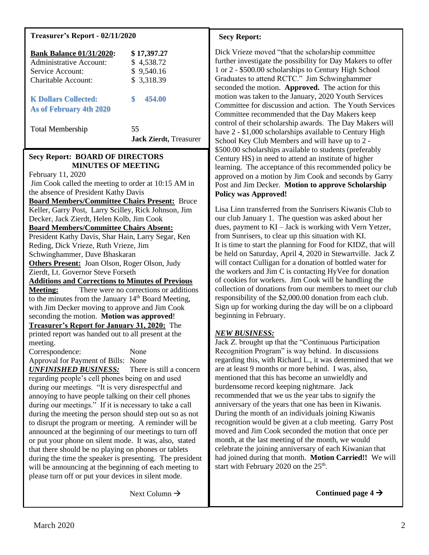### **Treasurer's Report - 02/11/2020**

| <b>Bank Balance 01/31/2020:</b> | \$17,397.27                          |
|---------------------------------|--------------------------------------|
| Administrative Account:         | \$4,538.72                           |
| Service Account:                | \$9,540.16                           |
| Charitable Account:             | \$3,318.39                           |
| <b>K Dollars Collected:</b>     | \$                                   |
| <b>As of February 4th 2020</b>  | 454.00                               |
| <b>Total Membership</b>         | 55<br><b>Jack Zierdt</b> , Treasurer |

#### **Secy Report: BOARD OF DIRECTORS MINUTES OF MEETING**

February 11, 2020 Jim Cook called the meeting to order at 10:15 AM in the absence of President Kathy Davis **Board Members/Committee Chairs Present:** Bruce Keller, Garry Post, Larry Scilley, Rick Johnson, Jim Decker, Jack Zierdt, Helen Kolb, Jim Cook **Board Members/Committee Chairs Absent:** President Kathy Davis, Shar Hain, Larry Segar, Ken Reding, Dick Vrieze, Ruth Vrieze, Jim Schwinghammer, Dave Bhaskaran **Others Present:** Joan Olson, Roger Olson, Judy Zierdt, Lt. Governor Steve Forseth **Additions and Corrections to Minutes of Previous Meeting:** There were no corrections or additions to the minutes from the January  $14<sup>th</sup>$  Board Meeting, with Jim Decker moving to approve and Jim Cook seconding the motion. **Motion was approved**! **Treasurer's Report for January 31, 2020:** The printed report was handed out to all present at the meeting. Correspondence: None Approval for Payment of Bills: None *UNFINISHED BUSINESS:* There is still a concern regarding people's cell phones being on and used during our meetings. "It is very disrespectful and annoying to have people talking on their cell phones during our meetings." If it is necessary to take a call during the meeting the person should step out so as not to disrupt the program or meeting. A reminder will be announced at the beginning of our meetings to turn off or put your phone on silent mode. It was, also, stated that there should be no playing on phones or tablets

during the time the speaker is presenting. The president will be announcing at the beginning of each meeting to please turn off or put your devices in silent mode.

Next Column  $\rightarrow$ 

### **Secy Report:**

Dick Vrieze moved "that the scholarship committee further investigate the possibility for Day Makers to offer 1 or 2 - \$500.00 scholarships to Century High School Graduates to attend RCTC." Jim Schwinghammer seconded the motion. **Approved.** The action for this motion was taken to the January, 2020 Youth Services Committee for discussion and action. The Youth Services Committee recommended that the Day Makers keep control of their scholarship awards. The Day Makers will have 2 - \$1,000 scholarships available to Century High School Key Club Members and will have up to 2 - \$500.00 scholarships available to students (preferably Century HS) in need to attend an institute of higher learning. The acceptance of this recommended policy be approved on a motion by Jim Cook and seconds by Garry Post and Jim Decker. **Motion to approve Scholarship Policy was Approved!**

Lisa Linn transferred from the Sunrisers Kiwanis Club to our club January 1. The question was asked about her dues, payment to KI – Jack is working with Vern Yetzer, from Sunrisers, to clear up this situation with KI. It is time to start the planning for Food for KIDZ, that will be held on Saturday, April 4, 2020 in Stewartville. Jack Z will contact Culligan for a donation of bottled water for the workers and Jim C is contacting HyVee for donation of cookies for workers. Jim Cook will be handling the collection of donations from our members to meet our club responsibility of the \$2,000.00 donation from each club. Sign up for working during the day will be on a clipboard beginning in February.

## *NEW BUSINESS:*

Jack Z. brought up that the "Continuous Participation Recognition Program" is way behind. In discussions regarding this, with Richard L., it was determined that we are at least 9 months or more behind. I was, also, mentioned that this has become an unwieldly and burdensome record keeping nightmare. Jack recommended that we us the year tabs to signify the anniversary of the years that one has been in Kiwanis. During the month of an individuals joining Kiwanis recognition would be given at a club meeting. Garry Post moved and Jim Cook seconded the motion that once per month, at the last meeting of the month, we would celebrate the joining anniversary of each Kiwanian that had joined during that month. **Motion Carried!!** We will start with February 2020 on the  $25<sup>th</sup>$ .

**Continued page 4** →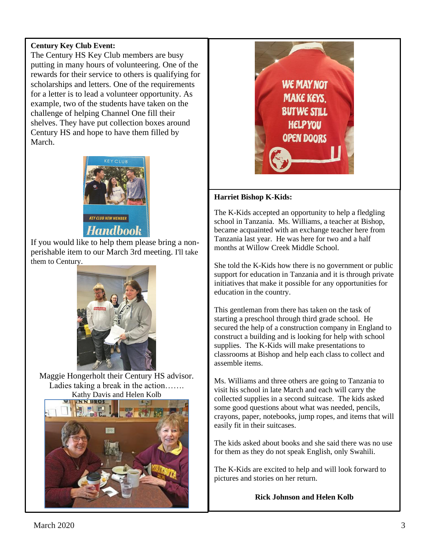## **Century Key Club Event:**

The Century HS Key Club members are busy putting in many hours of volunteering. One of the rewards for their service to others is qualifying for scholarships and letters. One of the requirements for a letter is to lead a volunteer opportunity. As example, two of the students have taken on the challenge of helping Channel One fill their shelves. They have put collection boxes around Century HS and hope to have them filled by March.



If you would like to help them please bring a nonperishable item to our March 3rd meeting. I'll take them to Century.



Maggie Hongerholt their Century HS advisor. Ladies taking a break in the action……. Kathy Davis and Helen Kolb





### **Harriet Bishop K-Kids:**

The K-Kids accepted an opportunity to help a fledgling school in Tanzania. Ms. Williams, a teacher at Bishop, became acquainted with an exchange teacher here from Tanzania last year. He was here for two and a half months at Willow Creek Middle School.

She told the K-Kids how there is no government or public support for education in Tanzania and it is through private initiatives that make it possible for any opportunities for education in the country.

This gentleman from there has taken on the task of starting a preschool through third grade school. He secured the help of a construction company in England to construct a building and is looking for help with school supplies. The K-Kids will make presentations to classrooms at Bishop and help each class to collect and assemble items.

Ms. Williams and three others are going to Tanzania to visit his school in late March and each will carry the collected supplies in a second suitcase. The kids asked some good questions about what was needed, pencils, crayons, paper, notebooks, jump ropes, and items that will easily fit in their suitcases.

The kids asked about books and she said there was no use for them as they do not speak English, only Swahili.

The K-Kids are excited to help and will look forward to pictures and stories on her return.

### **Rick Johnson and Helen Kolb**